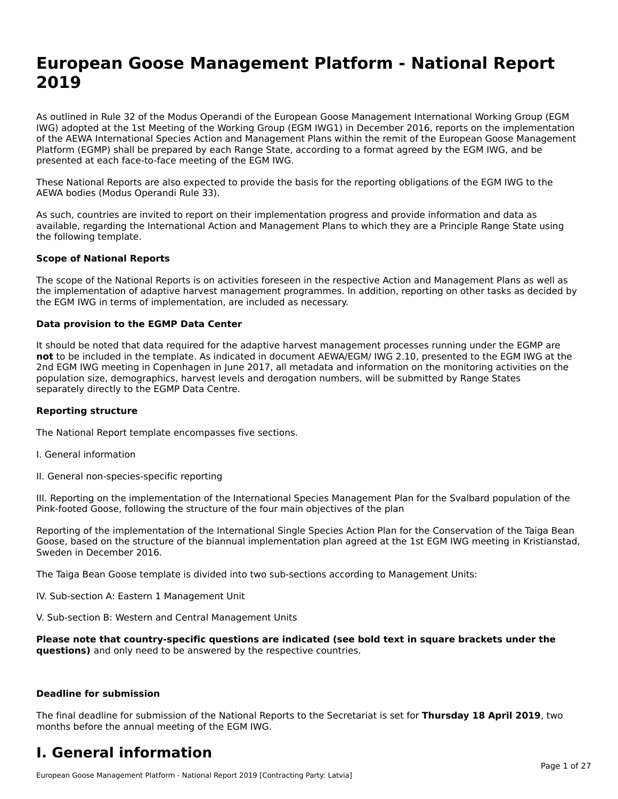# **European Goose Management Platform - National Report**European Goose Management Platform - National **Neport**<br>2010

As outlined in Rule 32 of the Modus Operandi of the European Goose Management International Working Group (EGM As buthled in Rule 32 of the Modus Operandi of the Lufopean Goose Management International Working Group (LGM<br>IWG) adopted at the 1st Meeting of the Working Group (EGM IWG1) in December 2016, reports on the implementation of the AEWA International Species Action and Management Plans within the remit of the European Goose Management Platform (EGMP) shall be prepared by each Range State, according to a format agreed by the EGM IWG, and be presented at each face-to-face meeting of the EGM IWG.

These National Reports are also expected to provide the basis for the reporting obligations of the EGM IWG to the AEWA bodies (Modus Operandi Rule 33).

As such, countries are invited to report on their implementation progress and provide information and data as<br>available, regarding the International Action and Management Plans to which they are a Principle Range State usi available, regarding the International Action and Management Plans to which they are a Principle Range State using the following template.

#### **Scope of National Reports**

The scope of the National Reports is on activities foreseen in the respective Action and Management Plans as well as The scope of the National Reports is on activities foreseen in the respective Action and Management Plans as well as<br>the implementation of adaptive harvest management programmes. In addition, reporting on other tasks as de the EGM IWG in terms of implementation, are included as necessary.

#### **Data provision to the EGMP Data Center**

It should be noted that data required for the adaptive harvest management processes running under the EGMP are **not** to be included in the template. As indicated in document AEWA/EGM/ IWG 2.10, presented to the EGM IWG at the 2nd EGM IWG meeting in Copenhagen in June 2017, all metadata and information on the monitoring activities on the population size, demographics, harvest levels and derogation numbers, will be submitted by Range States separately directly to the EGMP Data Centre.

#### **Reporting structure**

The National Report template encompasses five sections.

- I. General information
- II. General non-species-specific reporting

III. Reporting on the implementation of the International Species Management Plan for the Svalbard population of the

Reporting of the implementation of the International Single Species Action Plan for the Conservation of the Taiga Bean Reporting of the implementation of the international single species Action Fram for the conservation of the laiga beam<br>Goose, based on the structure of the biannual implementation plan agreed at the 1st EGM IWG meeting in

The Taiga Bean Goose template is divided into two sub-sections according to Management Units:

IV. Sub-section A: Eastern 1 Management Unit

V. Sub-section B: Western and Central Management Units

Please note that country-specific questions are indicated (see bold text in square brackets under the **questions)** and only need to be answered by the respective countries.

#### **Deadline for submission**

The final deadline for submission of the National Reports to the Secretariat is set for **Thursday 18 April 2019**, two months before the annual meeting of the EGM IWG.

### **I. General information**

European Goose Management Platform - National Report 2019 [Contracting Party: Latvia]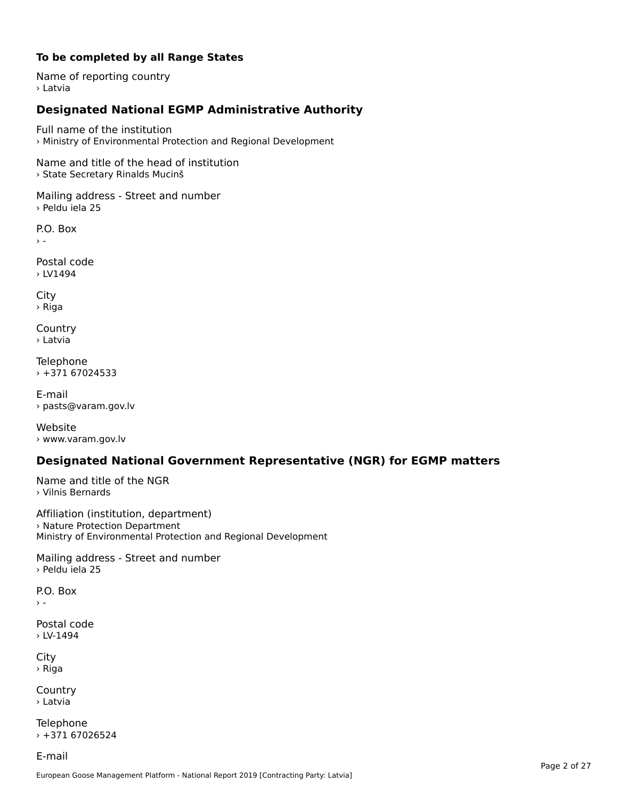### **To be completed by all Range States**

Name of reporting country › Latvia

# **Designated National EGMP Administrative Authority**

Full name of the institution› Ministry of Environmental Protection and Regional Development

Name and title of the head of institution › State Secretary Rinalds Mucinš

Mailing address - Street and number › Peldu iela 25

P.O. Box

Postal code› LV1494

City › Riga

**Country** › Latvia

Telephone › +371 67024533

E-mail› pasts@varam.gov.lv

Website › www.varam.gov.lv

## **Designated National Government Representative (NGR) for EGMP matters**

Name and title of the NGR › Vilnis Bernards

Affiliation (institution, department) Armideron (insertation, acpure<br>> Nature Protection Department Ministry of Environmental Protection and Regional Development

Mailing address - Street and number › Peldu iela 25

P.O. Box

 $\rightarrow$   $-$ 

Postal code › LV-1494

City › Riga

Country› Latvia

Telephone  $+37167026524$ 

E-mail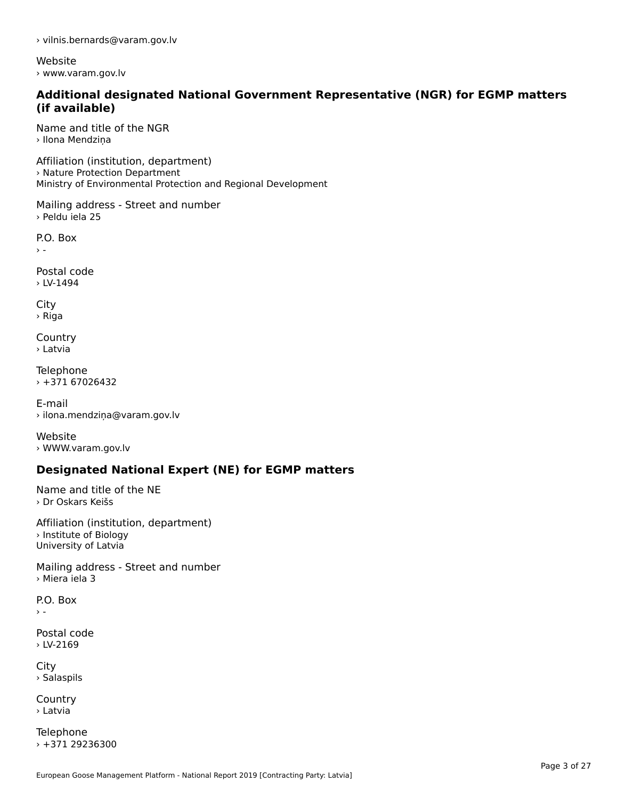› vilnis.bernards@varam.gov.lv

Website › www.varam.gov.lv

### **Additional designated National Government Representative (NGR) for EGMP matters (if available)**

Name and title of the NGR› Ilona Mendziņa

Affiliation (institution, department) Armideori (institution, depart<br>› Nature Protection Department Ministry of Environmental Protection and Regional Development

Mailing address - Street and number › Peldu iela 25

P.O. Box  $\rightarrow$  -

Postal code› LV-1494

City › Riga

**Country** › Latvia

**Telephone**  $+37167026432$ 

E-mail› ilona.mendziņa@varam.gov.lv

Website› WWW.varam.gov.lv

# **Designated National Expert (NE) for EGMP matters**

Name and title of the NE › Dr Oskars Keišs

Affiliation (institution, department)› Institute of Biology University of Latvia

Mailing address - Street and number › Miera iela 3

P.O. Box $\rightarrow$   $-$ 

Postal code › LV-2169

City › Salaspils

**Country** › Latvia

Telephone  $+37129236300$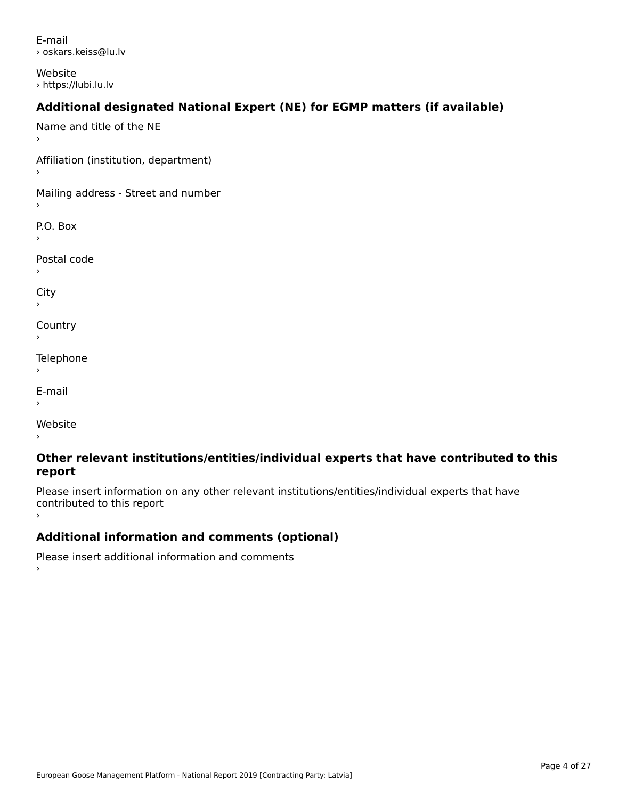E-mail› oskars.keiss@lu.lv

Website › https://lubi.lu.lv

# **Additional designated National Expert (NE) for EGMP matters (if available)**

Name and title of the NE›Affiliation (institution, department) Mailing address - Street and number P.O. Box Postal code›City **Country** Telephone E-mail›Website›

### **Other relevant institutions/entities/individual experts that have contributed to this report**report

Please insert information on any other relevant institutions/entities/individual experts that have continuated to this report

# **Additional information and comments (optional)**

Please insert additional information and comments ›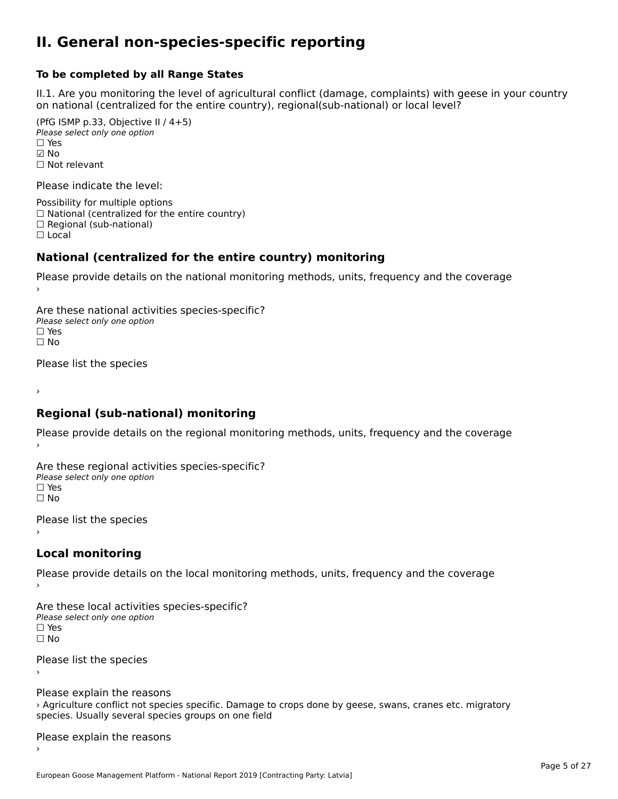### **II. General non-species-specific reporting**

#### **To be completed by all Range States**

II.1. Are you monitoring the level of agricultural conflict (damage, complaints) with geese in your country n.i. Are you monitoring the lever or agricultural connict (damage, complaints) with g<br>on national (centralized for the entire country), regional(sub-national) or local level?

(PfG ISMP p.33, Objective II  $(4+5)$ ) ∪ is in p.55, objective<br>Please select only one option ☑ No☐ Not relevant

Please indicate the level:

Possibility for multiple options  $\Box$  National (centralized for the entire country)  $\Box$  Regional (sub-national)

☐ Local

#### **National (centralized for the entire country) monitoring**

Please provide details on the national monitoring methods, units, frequency and the coverage

Are these national activities species-specific? Please select only one optionPlease select only one option<br>□ Yes ים וכ<br>⊡ No

Please list the species

›

#### **Regional (sub-national) monitoring**

Please provide details on the regional monitoring methods, units, frequency and the coverage

Are these regional activities species-specific? ∩ne these regional activ<br>Please select only one option □ Yes<br>□ No

Please list the species ›

#### **Local monitoring**

Please provide details on the local monitoring methods, units, frequency and the coverage

Are these local activities species-specific? Please select only one optionriease<br>□ Yes □ Yes<br>□ No

Please list the species ›

Please explain the reasons riedse explain the reasons<br>> Agriculture conflict not species specific. Damage to crops done by geese, swans, cranes etc. migratory species. Usually several species groups on one field

Please explain the reasons ›

European Goose Management Platform - National Report 2019 [Contracting Party: Latvia]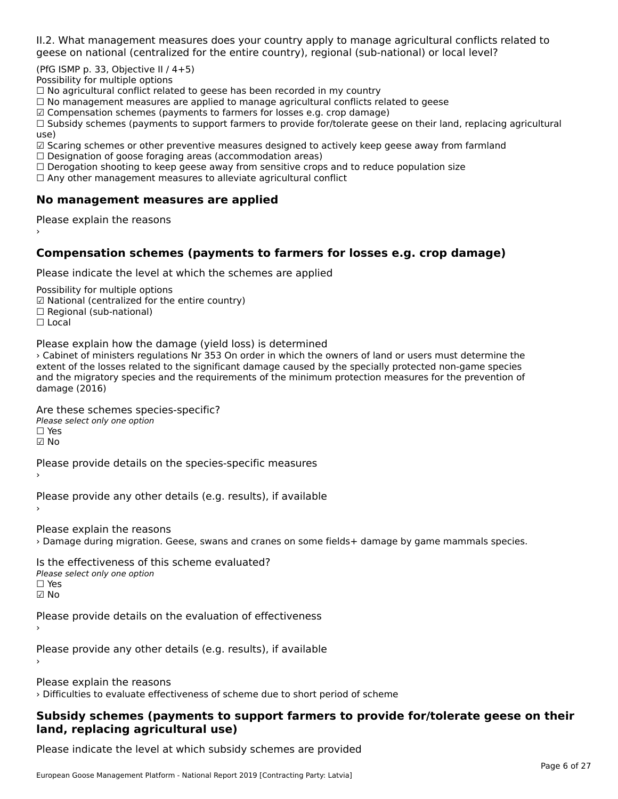II.2. What management measures does your country apply to manage agricultural conflicts related to

(PfG ISMP p. 33, Objective II  $/$  4+5)

Possibility for multiple options

™assibility for maltiple options<br>□ No agricultural conflict related to geese has been recorded in my country  $\Box$  No agricultural conflict related to geese has been recorded in high conflict  $r$ 

 $\Box$  No management measures are applied to manage agricultural commets relations to  $\Box$ 

 $\mathbb Z$  Compensation schemes (payments to farmers for losses e.g. crop damage)

ഇ compensation schemes (payments to farmers for losses e.g. crop damage)<br>□ Subsidy schemes (payments to support farmers to provide for/tolerate geese on their land, replacing agricultural use)

use,<br>☑ Scaring schemes or other preventive measures designed to actively keep geese away from farmland

⊠ Scaring scrientes of other preventive measures designed to a<br>□ Designation of goose foraging areas (accommodation areas)

□ Designation of goose foraging areas (accommodation areas)<br>□ Derogation shooting to keep geese away from sensitive crops and to reduce population size

 $\Box$  Any other management measures to alleviate agricultural conflict

### **No management measures are applied**

Please explain the reasons ›

### **Compensation schemes (payments to farmers for losses e.g. crop damage)**

Please indicate the level at which the schemes are applied

Possibility for multiple options rossibility for multiple options<br>☑ National (centralized for the entire country) ⊠ National (centranzed io<br>□ Regional (sub-national) ☐ Local

Please explain how the damage (yield loss) is determined

› Cabinet of ministers regulations Nr 353 On order in which the owners of land or users must determine the extent of the losses related to the significant damage caused by the specially protected non-game species extent of the losses related to the significant damage caused by the specially protected non-game species<br>and the migratory species and the requirements of the minimum protection measures for the prevention of damage (2016)

Are these schemes species-specific?

ric criese serientes spec<br>Please select only one option ☐ Yes☑ No

Please provide details on the species-specific measures

Please provide any other details (e.g. results), if available

Please explain the reasons › Damage during migration. Geese, swans and cranes on some fields+ damage by game mammals species.

Is the effectiveness of this scheme evaluated?Please select only one option ☐ Yes☑ No

Please provide details on the evaluation of effectiveness

Please provide any other details (e.g. results), if available

Please explain the reasons

› Difficulties to evaluate effectiveness of scheme due to short period of scheme

### **Subsidy schemes (payments to support farmers to provide for/tolerate geese on their land, replacing agricultural use)**land, replacing agricultural use)

Please indicate the level at which subsidy schemes are provided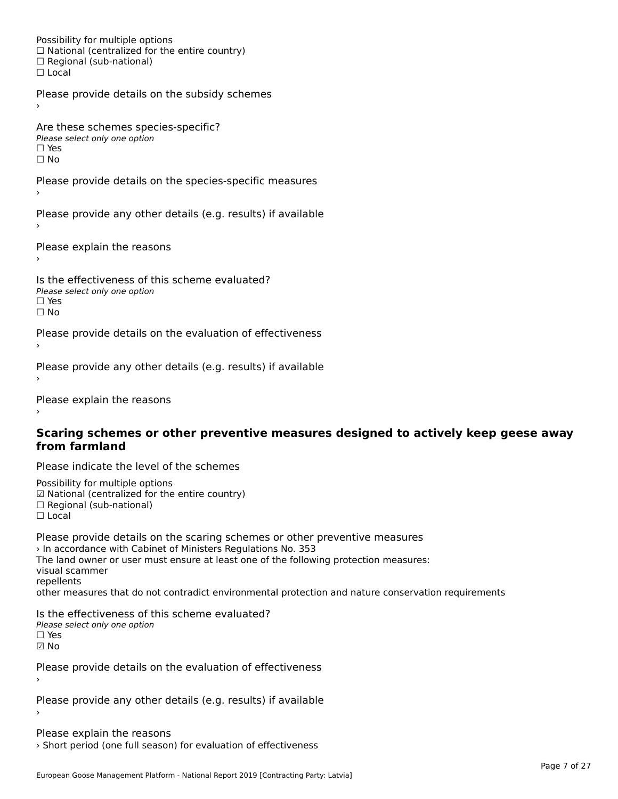Possibility for multiple options rossibility for multiple options<br>□ National (centralized for the entire country) □ National (centralized io<br>□ Regional (sub-national) ☐ Local

Please provide details on the subsidy schemes

Are these schemes species-specific?∩ne these senemes spee<br>Please select only one option □ Yes<br>□ No

Please provide details on the species-specific measures

Please provide any other details (e.g. results) if available

Please explain the reasons

Is the effectiveness of this scheme evaluated?□ CITC CITCCLIVERESS OF C<br>Please select only one option  $\square$  Yes ☐ No

Please provide details on the evaluation of effectiveness

Please provide any other details (e.g. results) if available

Please explain the reasons

### **Scaring schemes or other preventive measures designed to actively keep geese away from farmland**

Please indicate the level of the schemes

Possibility for multiple options rossibility for multiple options<br>☑ National (centralized for the entire country) ⊠ National (centralized io<br>□ Regional (sub-national) ☐ Local

Please provide details on the scaring schemes or other preventive measures › In accordance with Cabinet of Ministers Regulations No. 353 The land owner or user must ensure at least one of the following protection measures: visual scammer repellentsrepenents<br>other measures that do not contradict environmental protection and nature conservation requirements

Is the effectiveness of this scheme evaluated? Please select only one option ☐ Yes☑ No

Please provide details on the evaluation of effectiveness

Please provide any other details (e.g. results) if available

Please explain the reasons › Short period (one full season) for evaluation of effectiveness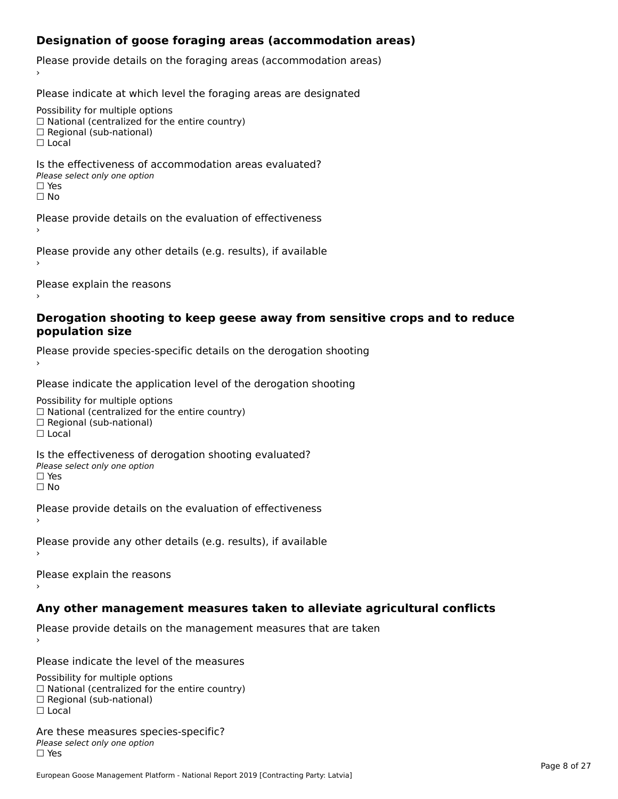## **Designation of goose foraging areas (accommodation areas)**

Please provide details on the foraging areas (accommodation areas)

Please indicate at which level the foraging areas are designated

Possibility for multiple options

rossibility for multiple options<br>□ National (centralized for the entire country)

□ National (centralized io<br>□ Regional (sub-national)

☐ Local

### Is the effectiveness of accommodation areas evaluated?□ CILCCCCVCIC55 OF 0<br>Please select only one option □ Yes<br>□ No

Please provide details on the evaluation of effectiveness

Please provide any other details (e.g. results), if available

Please explain the reasons

### **Derogation shooting to keep geese away from sensitive crops and to reduce population size**

Please provide species-specific details on the derogation shooting ›

Please indicate the application level of the derogation shooting

Possibility for multiple options

 $\Box$  National (centralized for the entire country)

 $\Box$  Regional (sub-national)

☐ Local

Is the effectiveness of derogation shooting evaluated?

□ CITC CITCCLIVENC55 OF 0<br>Please select only one option

□ Yes<br>□ No

Please provide details on the evaluation of effectiveness

Please provide any other details (e.g. results), if available

Please explain the reasons

### **Any other management measures taken to alleviate agricultural conflicts**

Please provide details on the management measures that are taken

Please indicate the level of the measures

Possibility for multiple options rossibility for multiple options<br>□ National (centralized for the entire country) □ Regional (centranzed to<br>□ Regional (sub-national) ☐ Local

Are these measures species-specific?Please select only one optionriease<br>□ Yes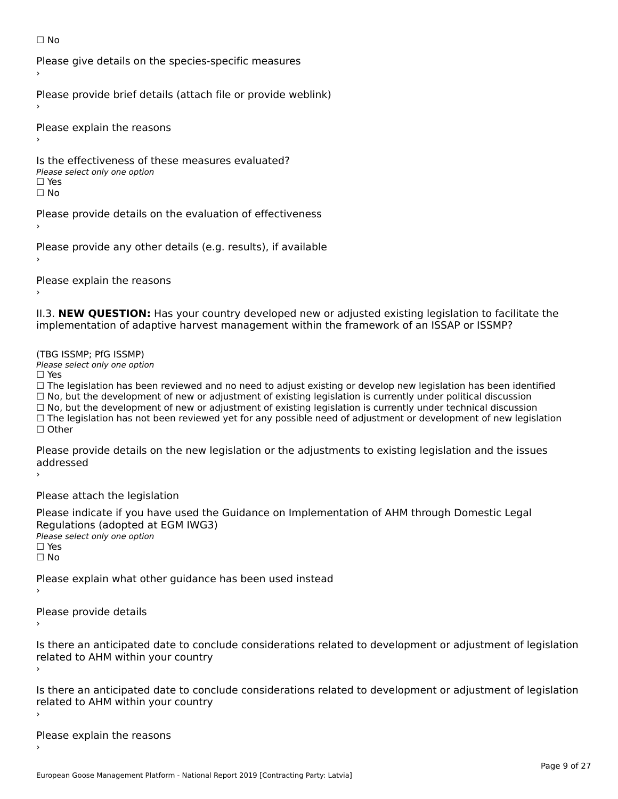#### ☐ No

Please give details on the species-specific measures

Please provide brief details (attach file or provide weblink)

Please explain the reasons

Is the effectiveness of these measures evaluated?□ CIC CILCCLIVENC55 OF C<br>Please select only one option □ Yes<br>□ No

Please provide details on the evaluation of effectiveness

Please provide any other details (e.g. results), if available

Please explain the reasons

II.3. **NEW QUESTION:** Has your country developed new or adjusted existing legislation to facilitate the implementation of adaptive harvest management within the framework of an ISSAP or ISSMP?

(TBG ISSMP; PfG ISSMP)

Please select only one option ☐ Yes

 $\Box$  Yes

☐ The legislation has been reviewed and no need to adjust existing or develop new legislation has been identified  $\Box$  The regislation has been reviewed and no need to adjust existing or develop hew regislation has been identify and  $\Box$  No, but the development of new or adjustment of existing legislation is currently under political  $\Box$  No, but the development of new or adjustment of existing legislation is currently under technical discussion ☐ The legislation has not been reviewed yet for any possible need of adjustment or development of new legislation □ Tie ie<br>□ Other

Please provide details on the new legislation or the adjustments to existing legislation and the issues riease pro<br>sedderes sed ›

Please attach the legislation

Please indicate if you have used the Guidance on Implementation of AHM through Domestic Legal Regulations (adopted at EGM IWG3) ∩egalations (aaopted al.<br>Please select only one option □ Yes<br>□ No

Please explain what other guidance has been used instead

Please provide details

Is there an anticipated date to conclude considerations related to development or adjustment of legislation is there an anticipated date to control<br>related to AHM within your country

Is there an anticipated date to conclude considerations related to development or adjustment of legislation Proced to Arm within your country

Please explain the reasons›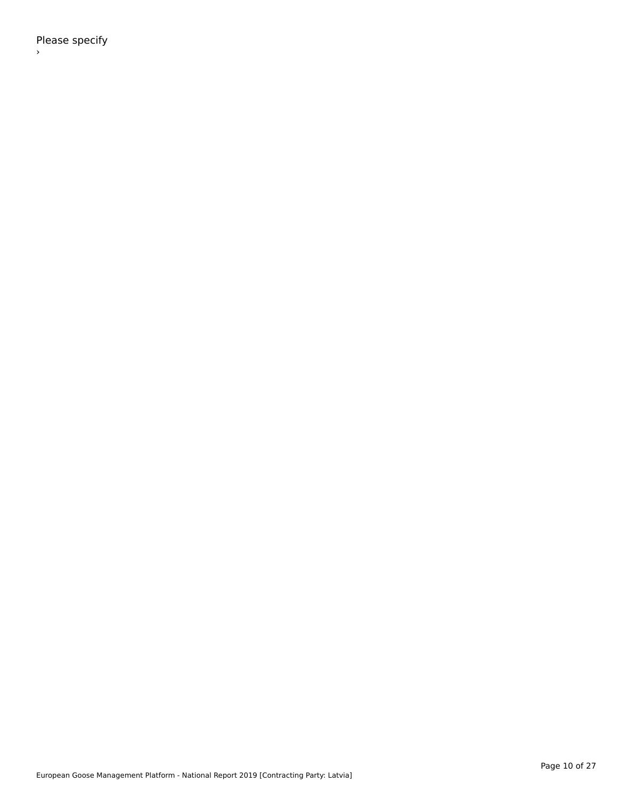Please specify ›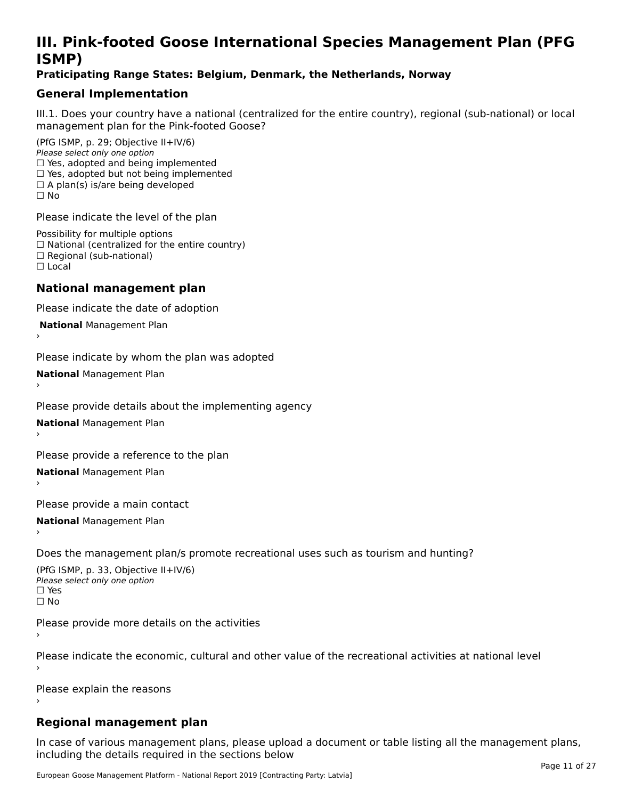# **III. Pink-footed Goose International Species Management Plan (PFG**III. FIIIN-IUULEU GUUSE IIILEI II**atiunai Species Management Fian (FTG**<br>ISMD)

### **Praticipating Range States: Belgium, Denmark, the Netherlands, Norway**

### **General Implementation**

III.1. Does your country have a national (centralized for the entire country), regional (sub-national) or local

(PfG ISMP, p. 29; Objective II+IV/6) Please select only one option *riease select only one option*<br>□ Yes, adopted and being implemented  $\Box$  ies, adopted and being implemented<br> $\Box$  Yes, adopted but not being implemented  $\Box$  A plan(s) is/are being developed ☐ No

Please indicate the level of the plan

Possibility for multiple options rossibility for multiple options<br>□ National (centralized for the entire country) □ National (centralized io<br>□ Regional (sub-national) ☐ Local

#### **National management plan**

Please indicate the date of adoption

 **National** Management Plan

›

Please indicate by whom the plan was adopted

**National** Management Plan ›

Please provide details about the implementing agency

**National** Management Plan ›

Please provide a reference to the plan

**National** Management Plan ›

Please provide a main contact

**National** Management Plan ›

Does the management plan/s promote recreational uses such as tourism and hunting?

(PfG ISMP, p. 33, Objective II+IV/6) Please select only one optionPlease select only one option  $\square$  Yes ☐ No

Please provide more details on the activities

Please indicate the economic, cultural and other value of the recreational activities at national level

Please explain the reasons

### **Regional management plan**

In case of various management plans, please upload a document or table listing all the management plans, $\frac{1}{2}$  case of various management plans, please uploa including the details required in the sections below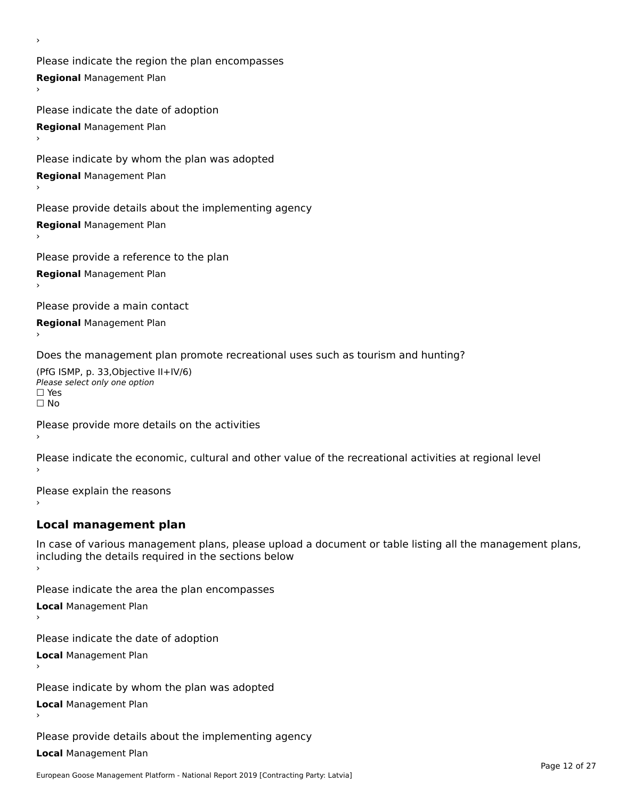Please indicate the region the plan encompasses **Regional** Management Plan

Please indicate the date of adoption **Regional** Management Plan ›

Please indicate by whom the plan was adopted

**Regional** Management Plan

›

Please provide details about the implementing agency

**Regional** Management Plan

Please provide a reference to the plan

**Regional** Management Plan

Please provide a main contact

**Regional** Management Plan

Does the management plan promote recreational uses such as tourism and hunting?

(PfG ISMP, p. 33,Objective II+IV/6) ∩∩ וויוכו פון<br>Please select only one option<br>□ Yes □ Yes<br>□ No

Please provide more details on the activities

Please indicate the economic, cultural and other value of the recreational activities at regional level

Please explain the reasons ›

### **Local management plan**

In case of various management plans, please upload a document or table listing all the management plans, In case of various management plans, please uploa<br>including the details required in the sections below

Please indicate the area the plan encompasses

**Local** Management Plan

Please indicate the date of adoption

**Local** Management Plan›

Please indicate by whom the plan was adopted

**Local** Management Plan

Please provide details about the implementing agency

**Local** Management Plan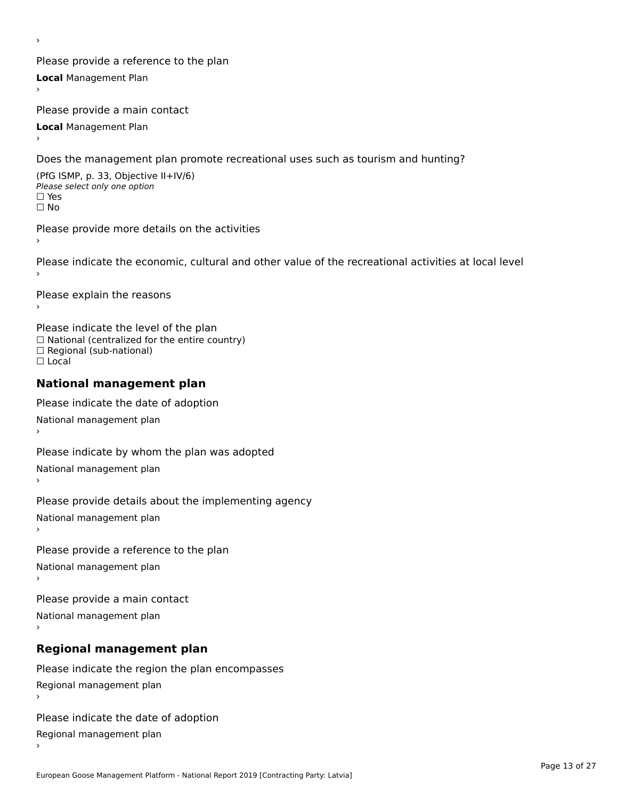Please provide a reference to the plan **Local** Management Plan

Please provide a main contact

**Local** Management Plan

›

Does the management plan promote recreational uses such as tourism and hunting?

(PfG ISMP, p. 33, Objective II+IV/6) Please select only one option☐ Yes☐ No

Please provide more details on the activities

Please indicate the economic, cultural and other value of the recreational activities at local level

Please explain the reasons ›

Please indicate the level of the plan ∩ease marcate the lever of the plan<br>□ National (centralized for the entire country) □ National (centralized io<br>□ Regional (sub-national) ☐ Local

### **National management plan**

Please indicate the date of adoption National management plan

Please indicate by whom the plan was adopted National management plan ›

Please provide details about the implementing agency

National management plan

Please provide a reference to the plan

National management plan

Please provide a main contact

National management plan

# **Regional management plan**

Please indicate the region the plan encompasses Regional management plan

Please indicate the date of adoption

Regional management plan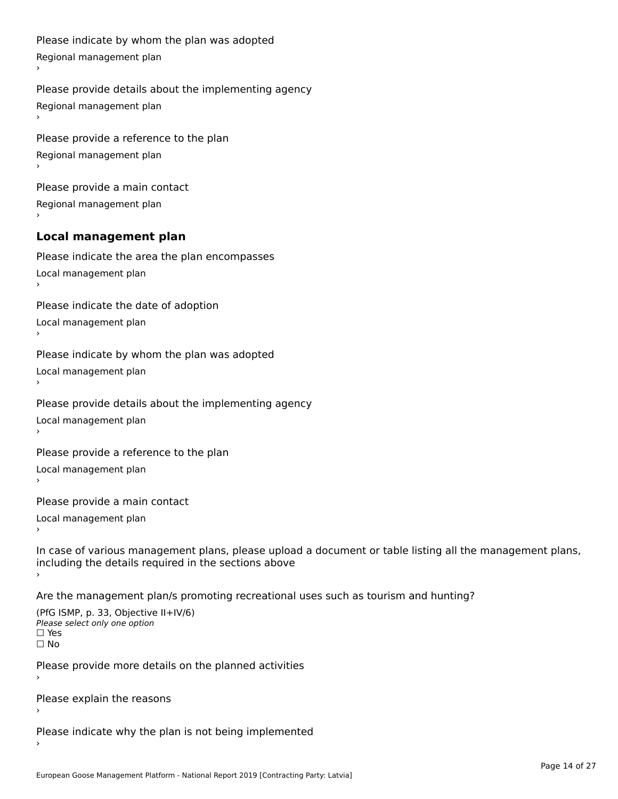```
Please indicate by whom the plan was adopted Regional management plan
Please provide details about the implementing agency Regional management plan
Please provide a reference to the plan Regional management plan
Please provide a main contact Regional management plan
Local management plan
Please indicate the area the plan encompasses Local management plan›Please indicate the date of adoption Local management plan١,
Please indicate by whom the plan was adopted Local management plan›Please provide details about the implementing agency Local management plan١,
Please provide a reference to the plan Local management plan›Please provide a main contact Local management plan١,
In case of various management plans, please upload a document or table listing all the management plans,in case or various management plans, please upload
including the details required in the sections above
Are the management plan/s promoting recreational uses such as tourism and hunting?
```
(PfG ISMP, p. 33, Objective II+IV/6) Please select only one option☐ Yes☐ No

Please provide more details on the planned activities

Please explain the reasons›

Please indicate why the plan is not being implemented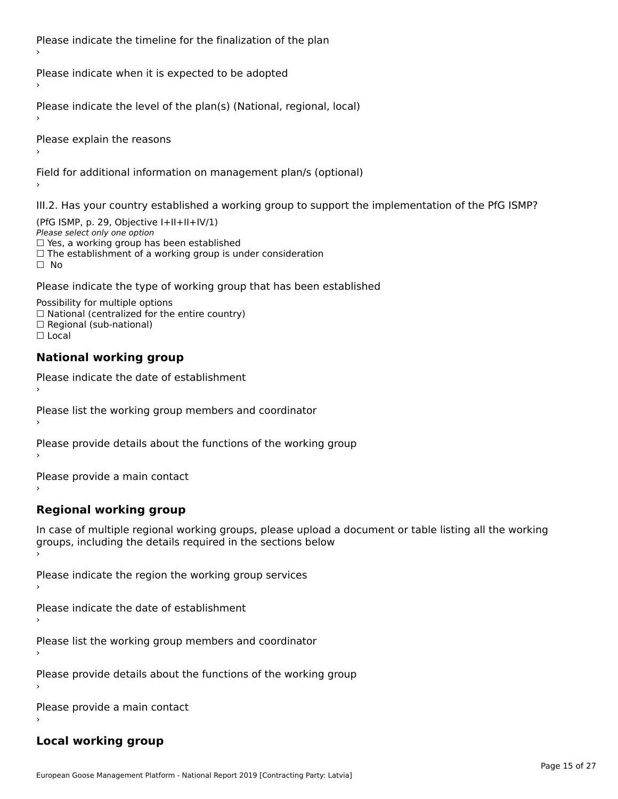Please indicate the timeline for the finalization of the plan

Please indicate when it is expected to be adopted

Please indicate the level of the plan(s) (National, regional, local)

Please explain the reasons

Field for additional information on management plan/s (optional)

III.2. Has your country established a working group to support the implementation of the PfG ISMP?

(PfG ISMP, p. 29, Objective  $I+II+II+IV/1$ ) Please select only one option □ Yes, a working group has been established □ Tes, a working group has been established<br>□ The establishment of a working group is under consideration

Please indicate the type of working group that has been established

Possibility for multiple options ™assibility for multiple options<br>□ National (centralized for the entire country) □ National (centralized io<br>□ Regional (sub-national)  $\Box$  Local

#### **National working group**

›

Please indicate the date of establishment

Please list the working group members and coordinator ›

Please provide details about the functions of the working group ›

Please provide a main contact ›

**Regional working group**

In case of multiple regional working groups, please upload a document or table listing all the working In case of multiple regional working groups, please upload a<br>groups, including the details required in the sections below

Please indicate the region the working group services ›

Please indicate the date of establishment ›

Please list the working group members and coordinator ›

Please provide details about the functions of the working group ›

Please provide a main contact ›

### **Local working group**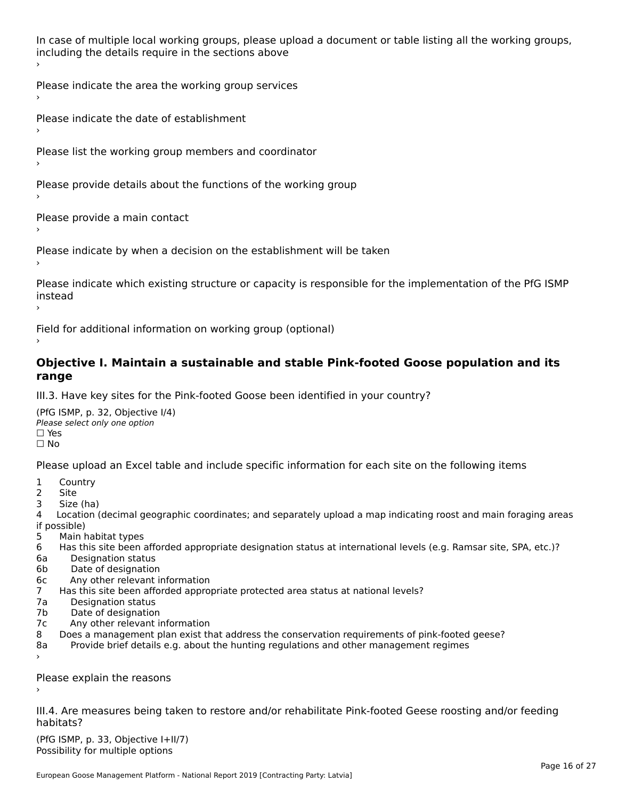In case of multiple local working groups, please upload a document or table listing all the working groups, including the details require in the sections above

Please indicate the area the working group services ›

Please indicate the date of establishment ›

Please list the working group members and coordinator ›

Please provide details about the functions of the working group ›

Please provide a main contact ›

Please indicate by when a decision on the establishment will be taken

Please indicate which existing structure or capacity is responsible for the implementation of the PfG ISMP instead ›

Field for additional information on working group (optional)

### **Objective I. Maintain a sustainable and stable Pink-footed Goose population and its range**range

III.3. Have key sites for the Pink-footed Goose been identified in your country?

(PfG ISMP, p. 32, Objective I/4)Please select only one option ☐ Yes☐ No

Please upload an Excel table and include specific information for each site on the following items

- $1 \quad \alpha$
- 2 Site
- 2 Site<br>3 Size (ha)

د حدد una<br>4 Location (decimal geographic coordinates; and separately upload a map indicating roost and main foraging areas 4 Location<br>if possible)

- 5 Main habitat types
- 6 Has this site been afforded appropriate designation status at international levels (e.g. Ramsar site, SPA, etc.)? 6. Bestweetter status
- 6a Designation status<br>6b Date of designation
- 
- 6c Any other relevant information
- 7 Has this site been afforded appropriate protected area status at national levels? 7a Designation status
- 7a Designation status<br>7b Date of designation
- 
- 7c Any other relevant information
- 8 Does a management plan exist that address the conservation requirements of pink-footed geese?
- 8a Provide brief details e.g. about the hunting regulations and other management regimes ›

Please explain the reasons

III.4. Are measures being taken to restore and/or rehabilitate Pink-footed Geese roosting and/or feeding habitats?

 $(PCI GMP, p. 33, Qb)$  is the I+II/7) Possibility for multiple optionsPossibility for multiple options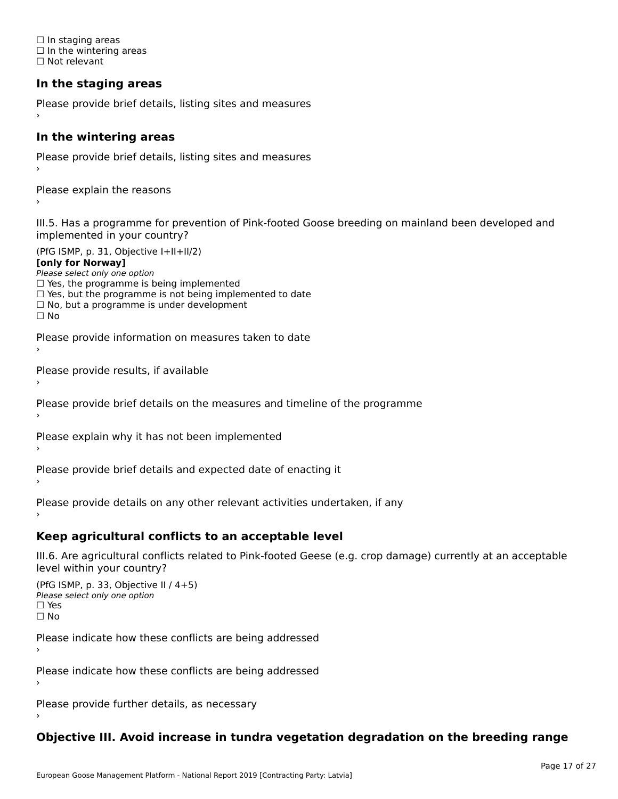☐ In staging areas □ in staging areas<br>□ In the wintering areas ☐ Not relevant

# **In the staging areas**

```
Please provide brief details, listing sites and measures ›
```
#### **In the wintering areas**

Please provide brief details, listing sites and measures ›

Please explain the reasons

III.5. Has a programme for prevention of Pink-footed Goose breeding on mainland been developed and implemented in your country?

(PfG ISMP, p. 31, Objective I+II+II/2)

**[only for Norway]**

Please select only one option riease select only one option<br>□ Yes, the programme is being implemented

 $\Box$  ies, the programme is being implemented to date  $\Box$  Yes, but the programme is not being implemented to date

 $\Box$  No, but a programme is under development

Please provide information on measures taken to date

Please provide results, if available

Please provide brief details on the measures and timeline of the programme

Please explain why it has not been implemented

Please provide brief details and expected date of enacting it

Please provide details on any other relevant activities undertaken, if any›

**Keep agricultural conflicts to an acceptable level**

III.6. Are agricultural conflicts related to Pink-footed Geese (e.g. crop damage) currently at an acceptable

```
(PfG ISMP, p. 33, Objective II (4+5))
Please select only one option
☐ Yes☐ No
```
Please indicate how these conflicts are being addressed

Please indicate how these conflicts are being addressed›

Please provide further details, as necessary ›

# **Objective III. Avoid increase in tundra vegetation degradation on the breeding range**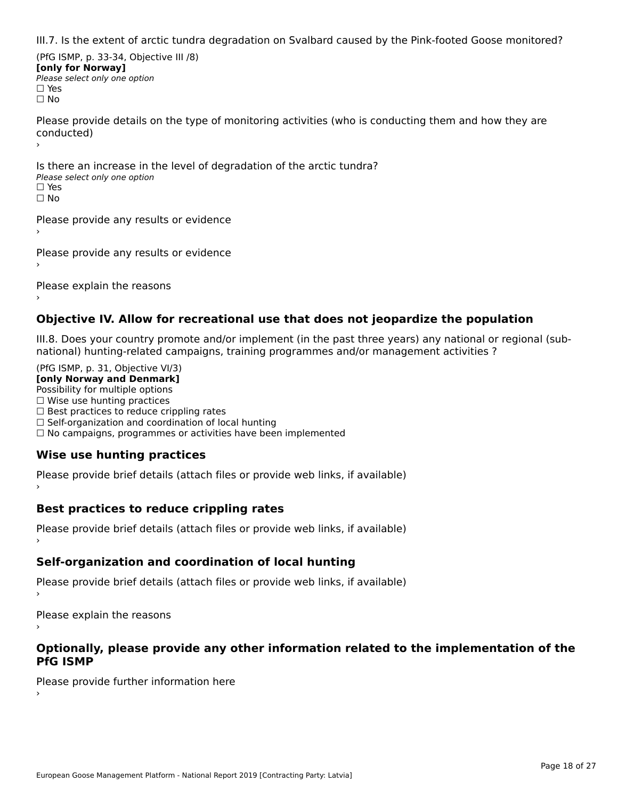III.7. Is the extent of arctic tundra degradation on Svalbard caused by the Pink-footed Goose monitored?

(PfG ISMP, p. 33-34, Objective III /8) **[only for Norway] Please select only one option** □ Yes<br>□ No

Please provide details on the type of monitoring activities (who is conducting them and how they are riease prov ›

Is there an increase in the level of degradation of the arctic tundra? □ CitCre dir increduce in c<br>Please select only one option □ Yes<br>□ No

Please provide any results or evidence

Please provide any results or evidence

Please explain the reasons

›

**Objective IV. Allow for recreational use that does not jeopardize the population**

III.8. Does your country promote and/or implement (in the past three years) any national or regional (sub $m.0.168$  your country promove and/or miplement (in the past time years) any national or

(PfG ISMP, p. 31, Objective VI/3) **[only Norway and Denmark]** Possibility for multiple options ☐ Wise use hunting practices  $\Box$  wise use numing practices<br> $\Box$  Best practices to reduce crippling rates □ Best practices to reduce crippinig rates<br>□ Self-organization and coordination of local hunting □ Sen-organization and coordination or local nunting<br>□ No campaigns, programmes or activities have been implemented

# **Wise use hunting practices**

Please provide brief details (attach files or provide web links, if available) ›

## **Best practices to reduce crippling rates**

Please provide brief details (attach files or provide web links, if available)

# **Self-organization and coordination of local hunting**

Please provide brief details (attach files or provide web links, if available)

Please explain the reasons

### **Optionally, please provide any other information related to the implementation of the PfG ISMP**

Please provide further information here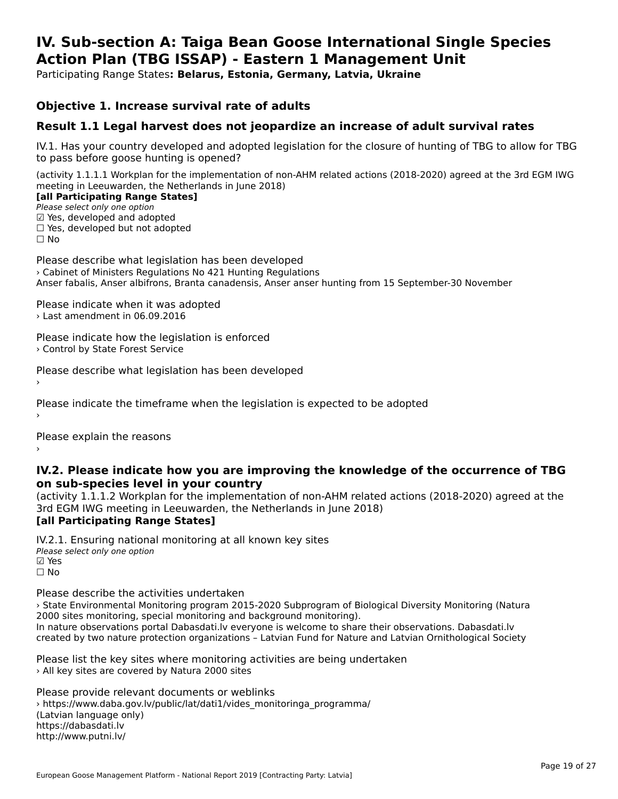### **IV. Sub-section A: Taiga Bean Goose International Single Species Action Plan (TBG ISSAP) - Eastern 1 Management UnitAction Plan (TBG ISSAP) - Eastern 1 Management Unit**

Participating Range States**: Belarus, Estonia, Germany, Latvia, Ukraine** 

### **Objective 1. Increase survival rate of adults**

### **Result 1.1 Legal harvest does not jeopardize an increase of adult survival rates**

IV.1. Has your country developed and adopted legislation for the closure of hunting of TBG to allow for TBG IV.1. Thas your country developed and add<br>to pass before goose hunting is opened?

(activity 1.1.1.1 Workplan for the implementation of non-AHM related actions (2018-2020) agreed at the 3rd EGM IWG meeting in Leeuwarden, the Netherlands in June 2018) **[all Participating Range States]**

[all Participating Range States]

Please select only one option ☑ Yes, developed and adopted ☐ Yes, developed but not adopted $\Box$  ies, developed but not adopted

Please describe what legislation has been developed › Cabinet of Ministers Regulations No 421 Hunting Regulations Anser fabalis, Anser albifrons, Branta canadensis, Anser anser hunting from 15 September-30 November

Please indicate when it was adopted

› Last amendment in 06.09.2016

Please indicate how the legislation is enforced › Control by State Forest Service

Please describe what legislation has been developed

Please indicate the timeframe when the legislation is expected to be adopted

Please explain the reasons

**IV.2. Please indicate how you are improving the knowledge of the occurrence of TBG on sub-species level in your country**on sub-species level in your country

on sub-species fever in your country<br>(activity 1.1.1.2 Workplan for the implementation of non-AHM related actions (2018-2020) agreed at the **[all Participating Range States]**

IV.2.1. Ensuring national monitoring at all known key sites Please select only one option ☑ Yes☐ No

Please describe the activities undertaken

› State Environmental Monitoring program 2015-2020 Subprogram of Biological Diversity Monitoring (Natura 2000 sites monitoring, special monitoring and background monitoring). zood sites monitoning, special monitoning and background monitoning).<br>In nature observations portal Dabasdati.lv everyone is welcome to share their observations. Dabasdati.lv created by two nature protection organizations – Latvian Fund for Nature and Latvian Ornithological Society

Please list the key sites where monitoring activities are being undertaken > All key sites are covered by Natura 2000 sites

Please provide relevant documents or weblinks ricuse provide relevant documents or webmiks<br>> https://www.daba.gov.lv/public/lat/dati1/vides\_monitoringa\_programma/ (Latvian language only) https://dabasdati.lv http://www.putni.lv/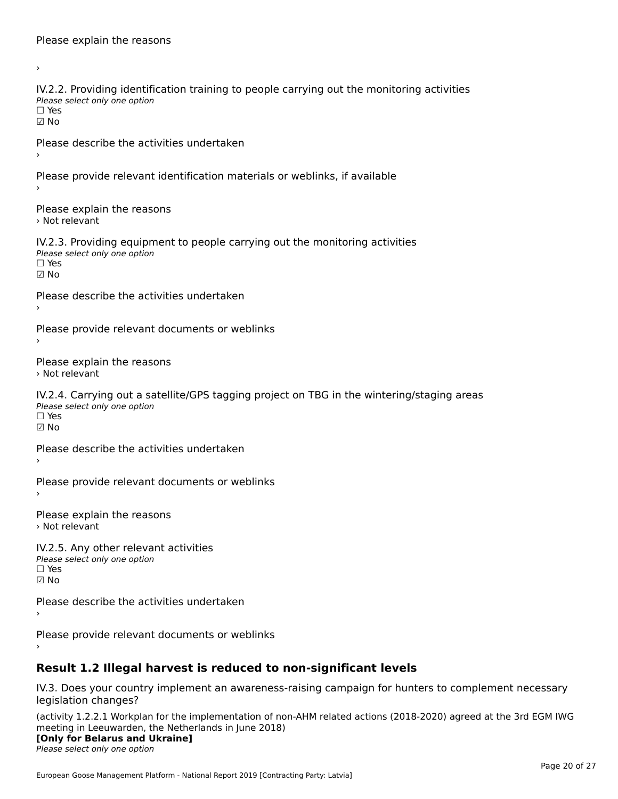›IV.2.2. Providing identification training to people carrying out the monitoring activities TWETE: THOMAING REFILITION<br>Please select only one option ☑ NoPlease describe the activities undertaken Please provide relevant identification materials or weblinks, if available Please explain the reasons › Not relevantIV.2.3. Providing equipment to people carrying out the monitoring activities Please select only one option ☐ Yes☑ NoPlease describe the activities undertaken Please provide relevant documents or weblinks Please explain the reasons › Not relevantIV.2.4. Carrying out a satellite/GPS tagging project on TBG in the wintering/staging areas rv.2.4. Carrying out a sc<br>Please select only one option ☐ Yes☑ NoPlease describe the activities undertaken Please provide relevant documents or weblinks Please explain the reasons › Not relevantIV.2.5. Any other relevant activities Please select only one option ☐ Yes $\Box$  Yes ☑ NoPlease describe the activities undertaken Please provide relevant documents or weblinks

# **Result 1.2 Illegal harvest is reduced to non-significant levels**

IV.3. Does your country implement an awareness-raising campaign for hunters to complement necessary legislation changes?

(activity 1.2.2.1 Workplan for the implementation of non-AHM related actions (2018-2020) agreed at the 3rd EGM IWG meeting in Leeuwarden, the Netherlands in June 2018)

### **[Only for Belarus and Ukraine]**

**LOTTLY TOT Detailed and O**<br>Please select only one option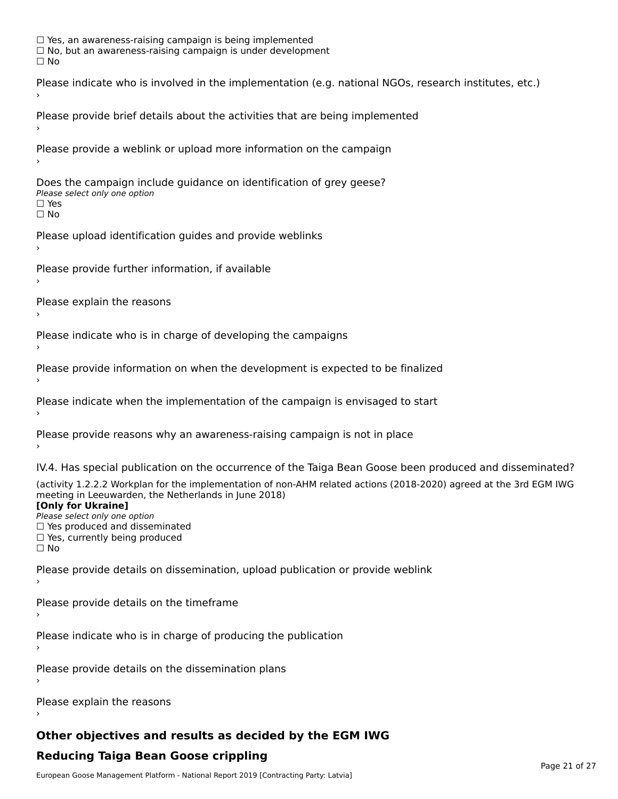☐ Yes, an awareness-raising campaign is being implemented □ Tes, an awareness-raising campaign is being implemented<br>□ No, but an awareness-raising campaign is under development Please indicate who is involved in the implementation (e.g. national NGOs, research institutes, etc.) Please provide brief details about the activities that are being implemented Please provide a weblink or upload more information on the campaign Does the campaign include guidance on identification of grey geese? **DOCS THE CAMPATS HILL**<br>Please select only one option □ Yes<br>□ No Please upload identification guides and provide weblinks Please provide further information, if available Please explain the reasons Please indicate who is in charge of developing the campaigns Please provide information on when the development is expected to be finalized Please indicate when the implementation of the campaign is envisaged to start Please provide reasons why an awareness-raising campaign is not in place IV.4. Has special publication on the occurrence of the Taiga Bean Goose been produced and disseminated? (activity 1.2.2.2 Workplan for the implementation of non-AHM related actions (2018-2020) agreed at the 3rd EGM IWG meeting in Leeuwarden, the Netherlands in June 2018) **[Only for Ukraine]**[Only for Ukraine] **LOTTLY TOT ONTAILLET**<br>Please select only one option *Please select only one option*<br>□ Yes produced and disseminated □ Tes produced and dissemmate<br>□ Yes, currently being produced Please provide details on dissemination, upload publication or provide weblink Please provide details on the timeframe Please indicate who is in charge of producing the publication Please provide details on the dissemination plans Please explain the reasons

# **Other objectives and results as decided by the EGM IWG**

# **Reducing Taiga Bean Goose crippling**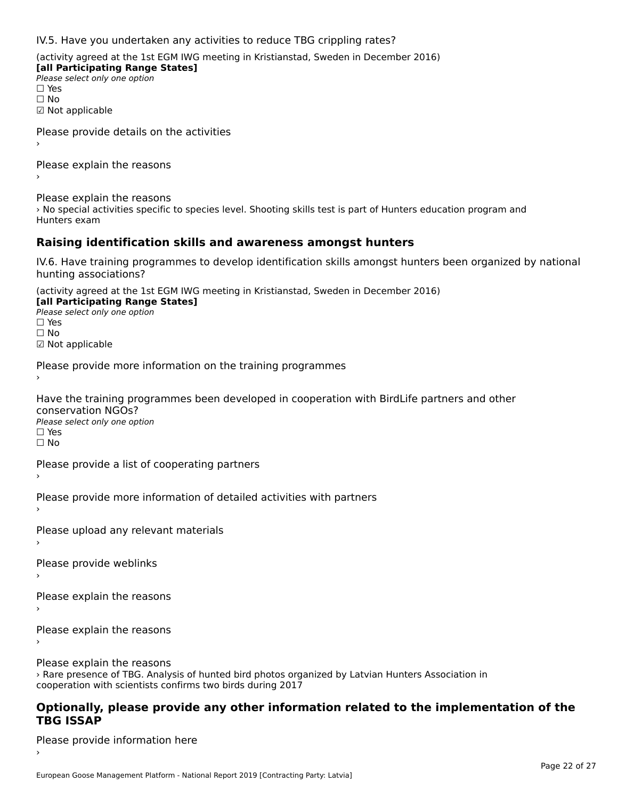IV.5. Have you undertaken any activities to reduce TBG crippling rates?

(activity agreed at the 1st EGM IWG meeting in Kristianstad, Sweden in December 2016)

**[all Participating Range States] Please select only one option** □ Yes<br>□ No ☑ Not applicable

Please provide details on the activities

Please explain the reasons›

Please explain the reasons

riedse explain the redsons<br>> No special activities specific to species level. Shooting skills test is part of Hunters education program and

### **Raising identification skills and awareness amongst hunters**

IV.6. Have training programmes to develop identification skills amongst hunters been organized by national hunting associations?

(activity agreed at the 1st EGM IWG meeting in Kristianstad, Sweden in December 2016)

**[all Participating Range States] Law Tarticipating Range**<br>Please select only one option □ Yes<br>□ No

☑ Not applicable

Please provide more information on the training programmes

Have the training programmes been developed in cooperation with BirdLife partners and other conservation NGOs? Please select only one option ☐ Yes☐ No

Please provide a list of cooperating partners

Please provide more information of detailed activities with partners

Please upload any relevant materials

Please provide weblinks

Please explain the reasons

Please explain the reasons

›

Please explain the reasons › Rare presence of TBG. Analysis of hunted bird photos organized by Latvian Hunters Association in cooperation with scientists confirms two birds during 2017

### **Optionally, please provide any other information related to the implementation of the TBG ISSAP**

Please provide information here›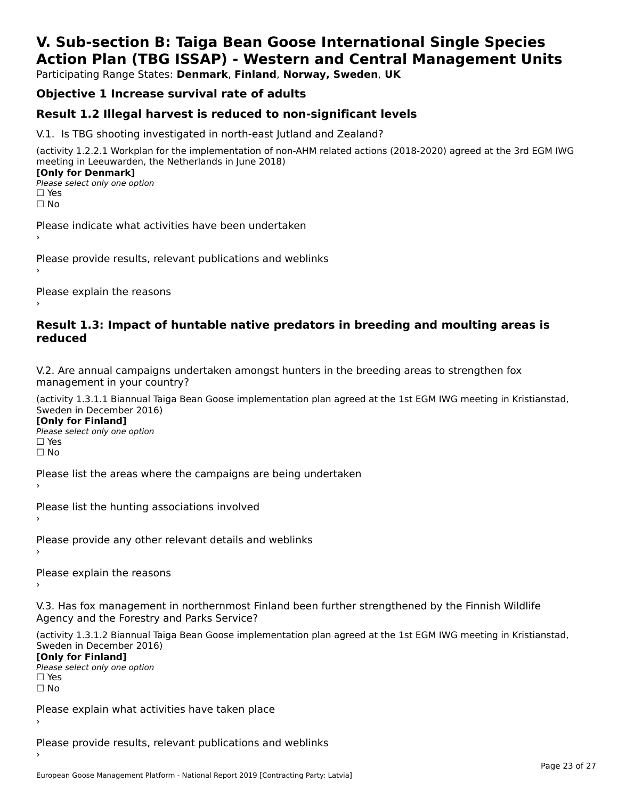# **V. Sub-section B: Taiga Bean Goose International Single SpeciesAction Plan (TBG ISSAP) - Western and Central Management Units**

Participating Range States: **Denmark**, **Finland**, **Norway, Sweden**, **UK**

# **Objective 1 Increase survival rate of adults**

### **Result 1.2 Illegal harvest is reduced to non-significant levels**

V.1. Is TBG shooting investigated in north-east Jutland and Zealand?

(activity 1.2.2.1 Workplan for the implementation of non-AHM related actions (2018-2020) agreed at the 3rd EGM IWG meeting in Leeuwarden, the Netherlands in June 2018) **[Only for Denmark] LOTTLY TOT DETITIONS**<br>Please select only one option

*riease*<br>□ Yes<br>□ No

Please indicate what activities have been undertaken›

Please provide results, relevant publications and weblinks ›

Please explain the reasons

### **Result 1.3: Impact of huntable native predators in breeding and moulting areas is reduced**

V.2. Are annual campaigns undertaken amongst hunters in the breeding areas to strengthen fox v.z. Are annual campaigns und<br>management in your country?

(activity 1.3.1.1 Biannual Taiga Bean Goose implementation plan agreed at the 1st EGM IWG meeting in Kristianstad, Sweden in December 2016)

**[Only for Finland]** Please select only one optionriease<br>□ Yes ים וכ<br>⊡ No

Please list the areas where the campaigns are being undertaken

Please list the hunting associations involved

Please provide any other relevant details and weblinks ›

Please explain the reasons›

V.3. Has fox management in northernmost Finland been further strengthened by the Finnish Wildlife v.5. Has fox management in northernmost F<br>Agency and the Forestry and Parks Service?

(activity 1.3.1.2 Biannual Taiga Bean Goose implementation plan agreed at the 1st EGM IWG meeting in Kristianstad, Sweden in December 2016) Sweden in December 2016)

[Only for Finland]

**Please select only one option** □ Yes<br>□ No

Please explain what activities have taken place

Please provide results, relevant publications and weblinks ›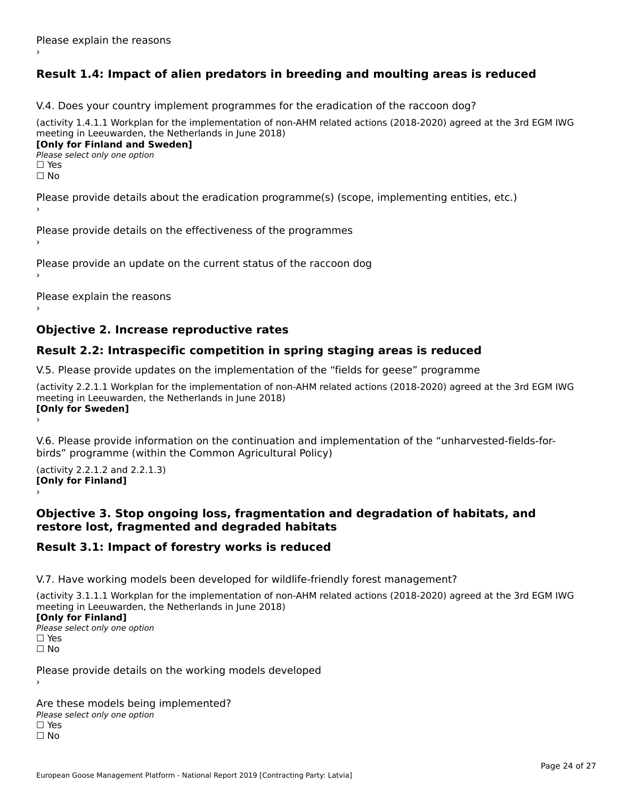# **Result 1.4: Impact of alien predators in breeding and moulting areas is reduced**

V.4. Does your country implement programmes for the eradication of the raccoon dog?

(activity 1.4.1.1 Workplan for the implementation of non-AHM related actions (2018-2020) agreed at the 3rd EGM IWG meeting in Leeuwarden, the Netherlands in June 2018) **[Only for Finland and Sweden]**

**Please select only one option** 

□ Yes<br>□ No

Please provide details about the eradication programme(s) (scope, implementing entities, etc.)

Please provide details on the effectiveness of the programmes

Please provide an update on the current status of the raccoon dog

Please explain the reasons

### **Objective 2. Increase reproductive rates**

### **Result 2.2: Intraspecific competition in spring staging areas is reduced**

V.5. Please provide updates on the implementation of the "fields for geese" programme

(activity 2.2.1.1 Workplan for the implementation of non-AHM related actions (2018-2020) agreed at the 3rd EGM IWG meeting in Leeuwarden, the Netherlands in June 2018) Loury for Swedent

V.6. Please provide information on the continuation and implementation of the "unharvested-fields-forbirds" programme (within the Common Agricultural Policy)birds" programme (within the Common Agricultural Policy)

(activity 2.2.1.2 and 2.2.1.3) **[Only for Finland]** ›

### **Objective 3. Stop ongoing loss, fragmentation and degradation of habitats, and restore lost, fragmented and degraded habitats**

### **Result 3.1: Impact of forestry works is reduced**

V.7. Have working models been developed for wildlife-friendly forest management?

(activity 3.1.1.1 Workplan for the implementation of non-AHM related actions (2018-2020) agreed at the 3rd EGM IWG meeting in Leeuwarden, the Netherlands in June 2018)

### **[Only for Finland]**

**Please select only one option** □ Yes<br>□ No

Please provide details on the working models developed

Are these models being implemented? ∩ne enese moders being<br>Please select only one option □ Yes<br>□ No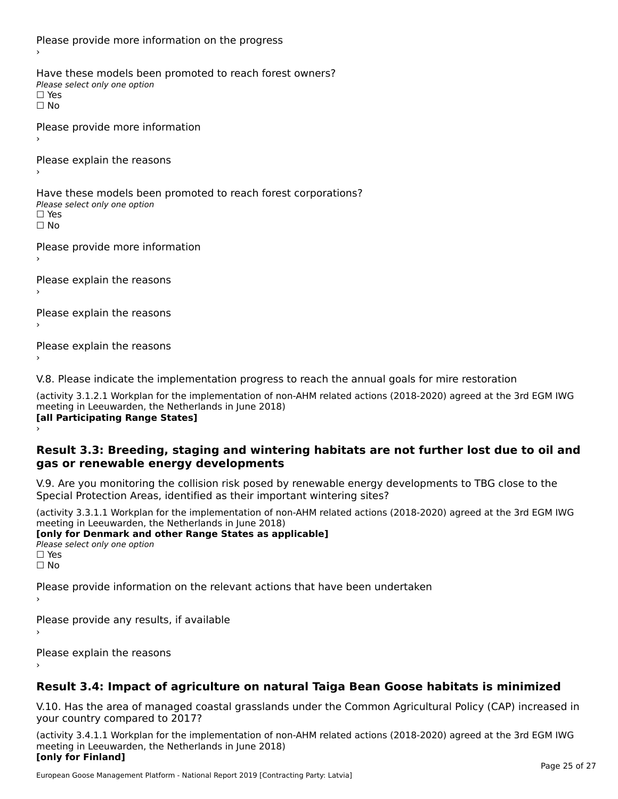Please provide more information on the progress Have these models been promoted to reach forest owners? ∩ave these models bee<br>Please select only one option □ Yes<br>□ No Please provide more information Please explain the reasons ›Have these models been promoted to reach forest corporations? ∩ave these models bee<br>Please select only one option □ Yes<br>□ No Please provide more information Please explain the reasons ›Please explain the reasons›Please explain the reasons›

V.8. Please indicate the implementation progress to reach the annual goals for mire restoration

(activity 3.1.2.1 Workplan for the implementation of non-AHM related actions (2018-2020) agreed at the 3rd EGM IWG meeting in Leeuwarden, the Netherlands in June 2018) **[all Participating Range States]** ›

**Result 3.3: Breeding, staging and wintering habitats are not further lost due to oil and gas or renewable energy developments**gas or renewable energy developments

V.9. Are you monitoring the collision risk posed by renewable energy developments to TBG close to the Special Protection Areas, identified as their important wintering sites?

(activity 3.3.1.1 Workplan for the implementation of non-AHM related actions (2018-2020) agreed at the 3rd EGM IWG meeting in Leeuwarden, the Netherlands in June 2018) **[only for Denmark and other Range States as applicable]**

```
Please select only one option
□ Yes<br>□ No
```
Please provide information on the relevant actions that have been undertaken ›

Please provide any results, if available

Please explain the reasons

# **Result 3.4: Impact of agriculture on natural Taiga Bean Goose habitats is minimized**

V.10. Has the area of managed coastal grasslands under the Common Agricultural Policy (CAP) increased in

(activity 3.4.1.1 Workplan for the implementation of non-AHM related actions (2018-2020) agreed at the 3rd EGM IWG meeting in Leeuwarden, the Netherlands in June 2018) **[only for Finland]**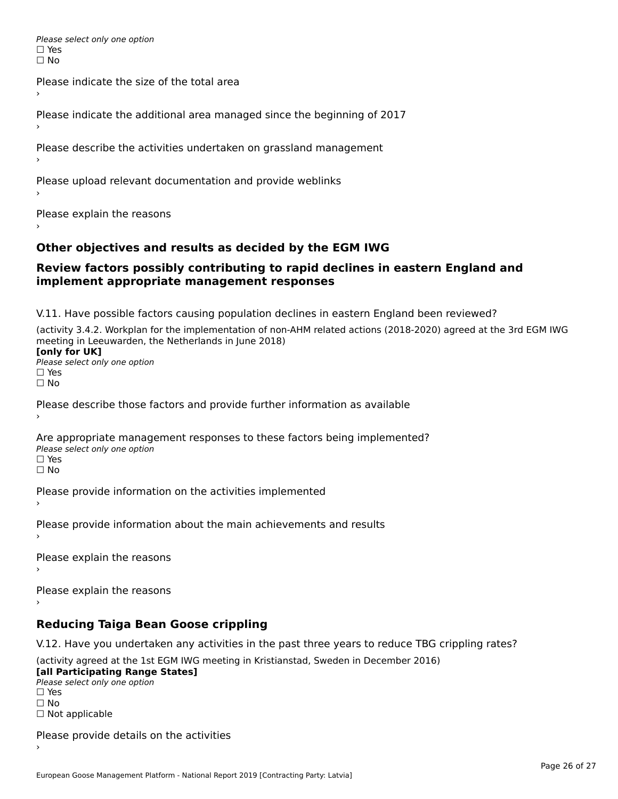Please select only one option □ Yes<br>□ No

Please indicate the size of the total area›

Please indicate the additional area managed since the beginning of 2017

Please describe the activities undertaken on grassland management

Please upload relevant documentation and provide weblinks

Please explain the reasons

### **Other objectives and results as decided by the EGM IWG**

### **Review factors possibly contributing to rapid declines in eastern England and implement appropriate management responses**implement appropriate management responses

V.11. Have possible factors causing population declines in eastern England been reviewed?

(activity 3.4.2. Workplan for the implementation of non-AHM related actions (2018-2020) agreed at the 3rd EGM IWG meeting in Leeuwarden, the Netherlands in June 2018)<br>**[only for UK]** 

**∐omy for OR**<br>Please select only one option □ Yes<br>□ No

Please describe those factors and provide further information as available

Are appropriate management responses to these factors being implemented? Please select only one option ים<br>⊡ No

Please provide information on the activities implemented

Please provide information about the main achievements and results›

Please explain the reasons

Please explain the reasons

### **Reducing Taiga Bean Goose crippling**

V.12. Have you undertaken any activities in the past three years to reduce TBG crippling rates?

(activity agreed at the 1st EGM IWG meeting in Kristianstad, Sweden in December 2016) **[all Participating Range States]**

[all Participating Range States] Please select only one option☐ Yesים<br>⊡ No □ Not applicable

Please provide details on the activities